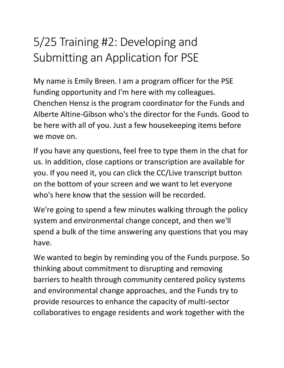# 5/25 Training #2: Developing and Submitting an Application for PSE

My name is Emily Breen. I am a program officer for the PSE funding opportunity and I'm here with my colleagues. Chenchen Hensz is the program coordinator for the Funds and Alberte Altine-Gibson who's the director for the Funds. Good to be here with all of you. Just a few housekeeping items before we move on.

If you have any questions, feel free to type them in the chat for us. In addition, close captions or transcription are available for you. If you need it, you can click the CC/Live transcript button on the bottom of your screen and we want to let everyone who's here know that the session will be recorded.

We're going to spend a few minutes walking through the policy system and environmental change concept, and then we'll spend a bulk of the time answering any questions that you may have.

We wanted to begin by reminding you of the Funds purpose. So thinking about commitment to disrupting and removing barriers to health through community centered policy systems and environmental change approaches, and the Funds try to provide resources to enhance the capacity of multi-sector collaboratives to engage residents and work together with the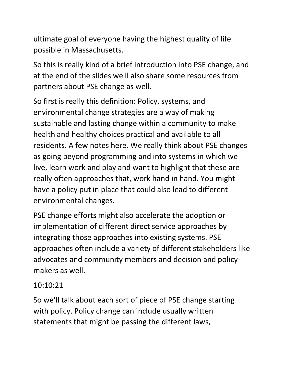ultimate goal of everyone having the highest quality of life possible in Massachusetts.

So this is really kind of a brief introduction into PSE change, and at the end of the slides we'll also share some resources from partners about PSE change as well.

So first is really this definition: Policy, systems, and environmental change strategies are a way of making sustainable and lasting change within a community to make health and healthy choices practical and available to all residents. A few notes here. We really think about PSE changes as going beyond programming and into systems in which we live, learn work and play and want to highlight that these are really often approaches that, work hand in hand. You might have a policy put in place that could also lead to different environmental changes.

PSE change efforts might also accelerate the adoption or implementation of different direct service approaches by integrating those approaches into existing systems. PSE approaches often include a variety of different stakeholders like advocates and community members and decision and policymakers as well.

#### 10:10:21

So we'll talk about each sort of piece of PSE change starting with policy. Policy change can include usually written statements that might be passing the different laws,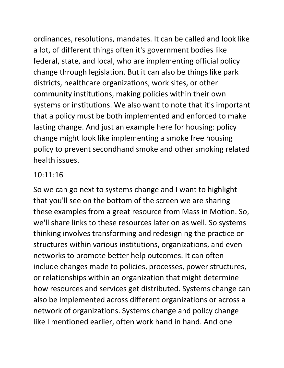ordinances, resolutions, mandates. It can be called and look like a lot, of different things often it's government bodies like federal, state, and local, who are implementing official policy change through legislation. But it can also be things like park districts, healthcare organizations, work sites, or other community institutions, making policies within their own systems or institutions. We also want to note that it's important that a policy must be both implemented and enforced to make lasting change. And just an example here for housing: policy change might look like implementing a smoke free housing policy to prevent secondhand smoke and other smoking related health issues.

#### 10:11:16

So we can go next to systems change and I want to highlight that you'll see on the bottom of the screen we are sharing these examples from a great resource from Mass in Motion. So, we'll share links to these resources later on as well. So systems thinking involves transforming and redesigning the practice or structures within various institutions, organizations, and even networks to promote better help outcomes. It can often include changes made to policies, processes, power structures, or relationships within an organization that might determine how resources and services get distributed. Systems change can also be implemented across different organizations or across a network of organizations. Systems change and policy change like I mentioned earlier, often work hand in hand. And one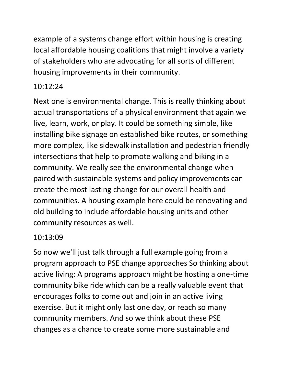example of a systems change effort within housing is creating local affordable housing coalitions that might involve a variety of stakeholders who are advocating for all sorts of different housing improvements in their community.

## 10:12:24

Next one is environmental change. This is really thinking about actual transportations of a physical environment that again we live, learn, work, or play. It could be something simple, like installing bike signage on established bike routes, or something more complex, like sidewalk installation and pedestrian friendly intersections that help to promote walking and biking in a community. We really see the environmental change when paired with sustainable systems and policy improvements can create the most lasting change for our overall health and communities. A housing example here could be renovating and old building to include affordable housing units and other community resources as well.

## 10:13:09

So now we'll just talk through a full example going from a program approach to PSE change approaches So thinking about active living: A programs approach might be hosting a one-time community bike ride which can be a really valuable event that encourages folks to come out and join in an active living exercise. But it might only last one day, or reach so many community members. And so we think about these PSE changes as a chance to create some more sustainable and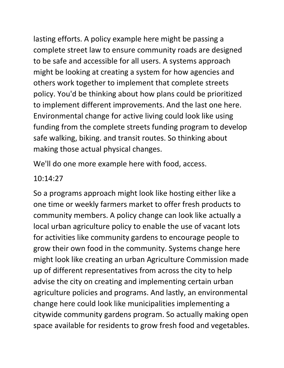lasting efforts. A policy example here might be passing a complete street law to ensure community roads are designed to be safe and accessible for all users. A systems approach might be looking at creating a system for how agencies and others work together to implement that complete streets policy. You'd be thinking about how plans could be prioritized to implement different improvements. And the last one here. Environmental change for active living could look like using funding from the complete streets funding program to develop safe walking, biking. and transit routes. So thinking about making those actual physical changes.

We'll do one more example here with food, access.

#### 10:14:27

So a programs approach might look like hosting either like a one time or weekly farmers market to offer fresh products to community members. A policy change can look like actually a local urban agriculture policy to enable the use of vacant lots for activities like community gardens to encourage people to grow their own food in the community. Systems change here might look like creating an urban Agriculture Commission made up of different representatives from across the city to help advise the city on creating and implementing certain urban agriculture policies and programs. And lastly, an environmental change here could look like municipalities implementing a citywide community gardens program. So actually making open space available for residents to grow fresh food and vegetables.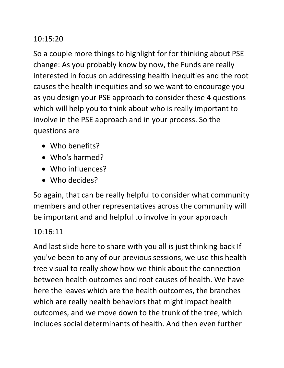## 10:15:20

So a couple more things to highlight for for thinking about PSE change: As you probably know by now, the Funds are really interested in focus on addressing health inequities and the root causes the health inequities and so we want to encourage you as you design your PSE approach to consider these 4 questions which will help you to think about who is really important to involve in the PSE approach and in your process. So the questions are

- Who benefits?
- Who's harmed?
- Who influences?
- Who decides?

So again, that can be really helpful to consider what community members and other representatives across the community will be important and and helpful to involve in your approach

## 10:16:11

And last slide here to share with you all is just thinking back If you've been to any of our previous sessions, we use this health tree visual to really show how we think about the connection between health outcomes and root causes of health. We have here the leaves which are the health outcomes, the branches which are really health behaviors that might impact health outcomes, and we move down to the trunk of the tree, which includes social determinants of health. And then even further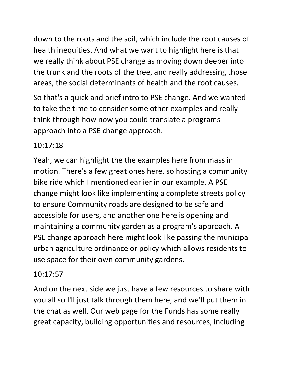down to the roots and the soil, which include the root causes of health inequities. And what we want to highlight here is that we really think about PSE change as moving down deeper into the trunk and the roots of the tree, and really addressing those areas, the social determinants of health and the root causes.

So that's a quick and brief intro to PSE change. And we wanted to take the time to consider some other examples and really think through how now you could translate a programs approach into a PSE change approach.

## 10:17:18

Yeah, we can highlight the the examples here from mass in motion. There's a few great ones here, so hosting a community bike ride which I mentioned earlier in our example. A PSE change might look like implementing a complete streets policy to ensure Community roads are designed to be safe and accessible for users, and another one here is opening and maintaining a community garden as a program's approach. A PSE change approach here might look like passing the municipal urban agriculture ordinance or policy which allows residents to use space for their own community gardens.

# 10:17:57

And on the next side we just have a few resources to share with you all so I'll just talk through them here, and we'll put them in the chat as well. Our web page for the Funds has some really great capacity, building opportunities and resources, including